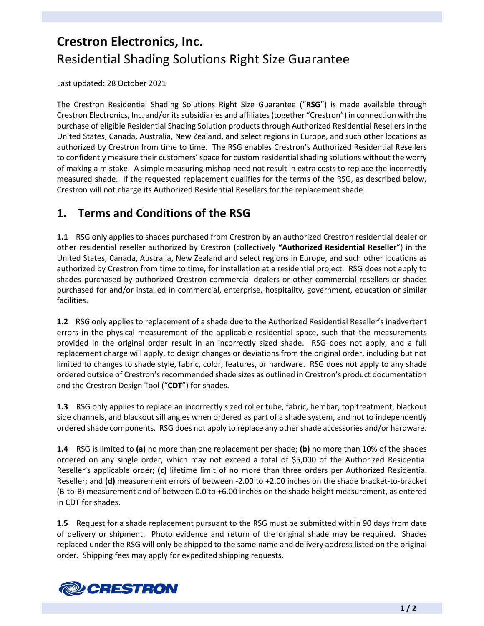## **Crestron Electronics, Inc.** Residential Shading Solutions Right Size Guarantee

Last updated: 28 October 2021

The Crestron Residential Shading Solutions Right Size Guarantee ("**RSG**") is made available through Crestron Electronics, Inc. and/or its subsidiaries and affiliates (together "Crestron") in connection with the purchase of eligible Residential Shading Solution products through Authorized Residential Resellers in the United States, Canada, Australia, New Zealand, and select regions in Europe, and such other locations as authorized by Crestron from time to time. The RSG enables Crestron's Authorized Residential Resellers to confidently measure their customers' space for custom residential shading solutions without the worry of making a mistake. A simple measuring mishap need not result in extra costs to replace the incorrectly measured shade. If the requested replacement qualifies for the terms of the RSG, as described below, Crestron will not charge its Authorized Residential Resellers for the replacement shade.

## **1. Terms and Conditions of the RSG**

**1.1** RSG only applies to shades purchased from Crestron by an authorized Crestron residential dealer or other residential reseller authorized by Crestron (collectively **"Authorized Residential Reseller**") in the United States, Canada, Australia, New Zealand and select regions in Europe, and such other locations as authorized by Crestron from time to time, for installation at a residential project. RSG does not apply to shades purchased by authorized Crestron commercial dealers or other commercial resellers or shades purchased for and/or installed in commercial, enterprise, hospitality, government, education or similar facilities.

**1.2** RSG only applies to replacement of a shade due to the Authorized Residential Reseller's inadvertent errors in the physical measurement of the applicable residential space, such that the measurements provided in the original order result in an incorrectly sized shade. RSG does not apply, and a full replacement charge will apply, to design changes or deviations from the original order, including but not limited to changes to shade style, fabric, color, features, or hardware. RSG does not apply to any shade ordered outside of Crestron's recommended shade sizes as outlined in Crestron's product documentation and the Crestron Design Tool ("**CDT**") for shades.

**1.3** RSG only applies to replace an incorrectly sized roller tube, fabric, hembar, top treatment, blackout side channels, and blackout sill angles when ordered as part of a shade system, and not to independently ordered shade components. RSG does not apply to replace any other shade accessories and/or hardware.

**1.4** RSG is limited to **(a)** no more than one replacement per shade; **(b)** no more than 10% of the shades ordered on any single order, which may not exceed a total of \$5,000 of the Authorized Residential Reseller's applicable order; **(c)** lifetime limit of no more than three orders per Authorized Residential Reseller; and **(d)** measurement errors of between -2.00 to +2.00 inches on the shade bracket-to-bracket (B-to-B) measurement and of between 0.0 to +6.00 inches on the shade height measurement, as entered in CDT for shades.

**1.5** Request for a shade replacement pursuant to the RSG must be submitted within 90 days from date of delivery or shipment. Photo evidence and return of the original shade may be required. Shades replaced under the RSG will only be shipped to the same name and delivery address listed on the original order. Shipping fees may apply for expedited shipping requests.